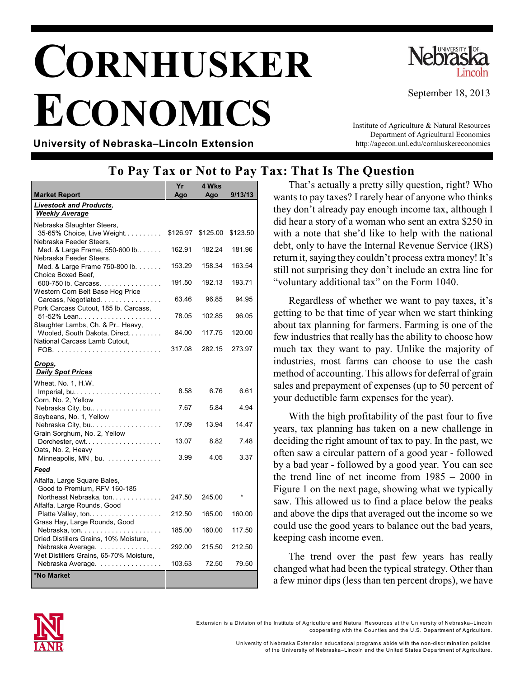# **CORNHUSKER ECONOMICS**



September 18, 2013

**University of Nebraska–Lincoln Extension**

Institute of Agriculture & Natural Resources Department of Agricultural Economics http://agecon.unl.edu/cornhuskereconomics

# **To Pay Tax or Not to Pay Tax: That Is The Question**

|                                                                    | Yr       | 4 Wks    |          |
|--------------------------------------------------------------------|----------|----------|----------|
| <b>Market Report</b>                                               | Ago      | Ago      | 9/13/13  |
| <b>Livestock and Products,</b>                                     |          |          |          |
| <b>Weekly Average</b>                                              |          |          |          |
| Nebraska Slaughter Steers,<br>35-65% Choice, Live Weight           | \$126.97 | \$125.00 | \$123.50 |
| Nebraska Feeder Steers,<br>Med. & Large Frame, 550-600 lb          | 162.91   | 182.24   | 181.96   |
| Nebraska Feeder Steers,<br>Med. & Large Frame 750-800 lb.          | 153.29   | 158.34   | 163.54   |
| Choice Boxed Beef,<br>600-750 lb. Carcass.                         | 191.50   | 192.13   | 193.71   |
| Western Corn Belt Base Hog Price<br>Carcass, Negotiated.           | 63.46    | 96.85    | 94.95    |
| Pork Carcass Cutout, 185 lb. Carcass,<br>51-52% Lean               | 78.05    | 102.85   | 96.05    |
| Slaughter Lambs, Ch. & Pr., Heavy,<br>Wooled, South Dakota, Direct | 84.00    | 117.75   | 120.00   |
| National Carcass Lamb Cutout,                                      | 317.08   | 282.15   | 273.97   |
| Crops,<br><b>Daily Spot Prices</b>                                 |          |          |          |
|                                                                    |          |          |          |
| Wheat, No. 1, H.W.<br>Imperial, bu                                 | 8.58     | 6.76     | 6.61     |
| Corn, No. 2, Yellow<br>Nebraska City, bu                           | 7.67     | 5.84     | 4.94     |
| Soybeans, No. 1, Yellow<br>Nebraska City, bu                       | 17.09    | 13.94    | 14.47    |
| Grain Sorghum, No. 2, Yellow<br>Dorchester, cwt                    | 13.07    | 8.82     | 7.48     |
| Oats, No. 2, Heavy<br>Minneapolis, MN, bu.                         | 3.99     | 4.05     | 3.37     |
| Feed                                                               |          |          |          |
| Alfalfa, Large Square Bales,<br>Good to Premium, RFV 160-185       |          |          |          |
| Northeast Nebraska, ton.<br>Alfalfa, Large Rounds, Good            | 247.50   | 245.00   |          |
| Platte Valley, ton<br>Grass Hay, Large Rounds, Good                | 212.50   | 165.00   | 160.00   |
| Dried Distillers Grains, 10% Moisture,                             | 185.00   | 160.00   | 117.50   |
| Nebraska Average.<br>Wet Distillers Grains, 65-70% Moisture,       | 292.00   | 215.50   | 212.50   |
| Nebraska Average.                                                  | 103.63   | 72.50    | 79.50    |
| *No Market                                                         |          |          |          |

That's actually a pretty silly question, right? Who wants to pay taxes? I rarely hear of anyone who thinks they don't already pay enough income tax, although I did hear a story of a woman who sent an extra \$250 in with a note that she'd like to help with the national debt, only to have the Internal Revenue Service (IRS) return it, saying theycouldn't process extra money! It's still not surprising they don't include an extra line for "voluntary additional tax" on the Form 1040.

Regardless of whether we want to pay taxes, it's getting to be that time of year when we start thinking about tax planning for farmers. Farming is one of the few industries that really has the ability to choose how much tax they want to pay. Unlike the majority of industries, most farms can choose to use the cash method of accounting. This allows for deferral of grain sales and prepayment of expenses (up to 50 percent of your deductible farm expenses for the year).

With the high profitability of the past four to five years, tax planning has taken on a new challenge in deciding the right amount of tax to pay. In the past, we often saw a circular pattern of a good year - followed by a bad year - followed by a good year. You can see the trend line of net income from 1985 – 2000 in Figure 1 on the next page, showing what we typically saw. This allowed us to find a place below the peaks and above the dips that averaged out the income so we could use the good years to balance out the bad years, keeping cash income even.

The trend over the past few years has really changed what had been the typical strategy. Other than a few minor dips (less than ten percent drops), we have



Extension is a Division of the Institute of Agriculture and Natural Resources at the University of Nebraska–Lincoln cooperating with the Counties and the U.S. Departm ent of Agriculture.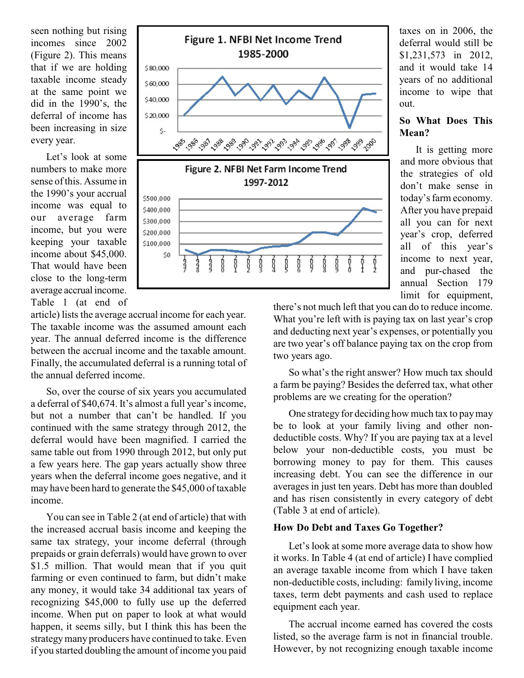seen nothing but rising incomes since 2002 (Figure 2). This means that if we are holding taxable income steady at the same point we did in the 1990's, the deferral of income has been increasing in size every year.

Let's look at some numbers to make more sense of this. Assume in the 1990's your accrual income was equal to our average farm income, but you were keeping your taxable income about \$45,000. That would have been close to the long-term average accrual income. Table 1 (at end of



article) lists the average accrual income for each year. The taxable income was the assumed amount each year. The annual deferred income is the difference between the accrual income and the taxable amount. Finally, the accumulated deferral is a running total of the annual deferred income.

So, over the course of six years you accumulated a deferral of \$40,674. It's almost a full year's income, but not a number that can't be handled. If you continued with the same strategy through 2012, the deferral would have been magnified. I carried the same table out from 1990 through 2012, but only put a few years here. The gap years actually show three years when the deferral income goes negative, and it may have been hard to generate the \$45,000 of taxable income.

You can see in Table 2 (at end of article) that with the increased accrual basis income and keeping the same tax strategy, your income deferral (through prepaids or grain deferrals) would have grown to over \$1.5 million. That would mean that if you quit farming or even continued to farm, but didn't make any money, it would take 34 additional tax years of recognizing \$45,000 to fully use up the deferred income. When put on paper to look at what would happen, it seems silly, but I think this has been the strategymany producers have continued to take. Even if you started doubling the amount of income you paid

taxes on in 2006, the deferral would still be \$1,231,573 in 2012, and it would take 14 years of no additional income to wipe that out.

## **So What Does This Mean?**

It is getting more and more obvious that the strategies of old don't make sense in today's farm economy. After you have prepaid all you can for next year's crop, deferred all of this year's income to next year, and pur-chased the annual Section 179 limit for equipment,

there's not much left that you can do to reduce income. What you're left with is paying tax on last year's crop and deducting next year's expenses, or potentially you are two year's off balance paying tax on the crop from two years ago.

So what's the right answer? How much tax should a farm be paying? Besides the deferred tax, what other problems are we creating for the operation?

One strategy for deciding how much tax to pay may be to look at your family living and other nondeductible costs. Why? If you are paying tax at a level below your non-deductible costs, you must be borrowing money to pay for them. This causes increasing debt. You can see the difference in our averages in just ten years. Debt has more than doubled and has risen consistently in every category of debt (Table 3 at end of article).

## **How Do Debt and Taxes Go Together?**

Let's look at some more average data to show how it works. In Table 4 (at end of article) I have complied an average taxable income from which I have taken non-deductible costs, including: family living, income taxes, term debt payments and cash used to replace equipment each year.

The accrual income earned has covered the costs listed, so the average farm is not in financial trouble. However, by not recognizing enough taxable income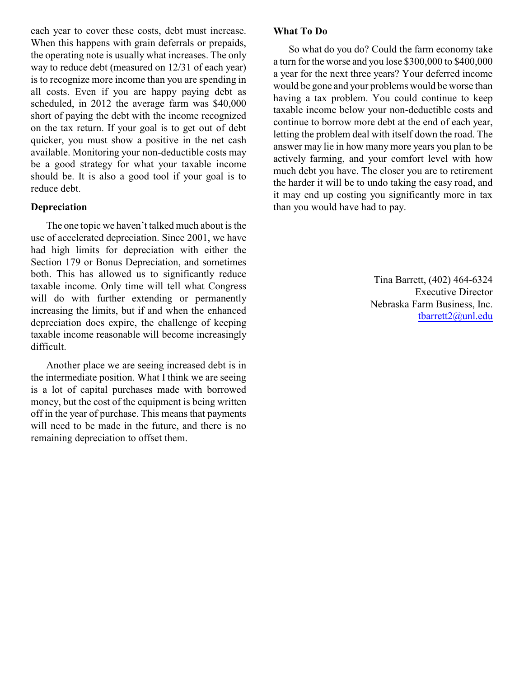each year to cover these costs, debt must increase. When this happens with grain deferrals or prepaids, the operating note is usually what increases. The only way to reduce debt (measured on 12/31 of each year) is to recognize more income than you are spending in all costs. Even if you are happy paying debt as scheduled, in 2012 the average farm was \$40,000 short of paying the debt with the income recognized on the tax return. If your goal is to get out of debt quicker, you must show a positive in the net cash available. Monitoring your non-deductible costs may be a good strategy for what your taxable income should be. It is also a good tool if your goal is to reduce debt.

## **Depreciation**

The one topic we haven't talked much about is the use of accelerated depreciation. Since 2001, we have had high limits for depreciation with either the Section 179 or Bonus Depreciation, and sometimes both. This has allowed us to significantly reduce taxable income. Only time will tell what Congress will do with further extending or permanently increasing the limits, but if and when the enhanced depreciation does expire, the challenge of keeping taxable income reasonable will become increasingly difficult.

Another place we are seeing increased debt is in the intermediate position. What I think we are seeing is a lot of capital purchases made with borrowed money, but the cost of the equipment is being written off in the year of purchase. This means that payments will need to be made in the future, and there is no remaining depreciation to offset them.

#### **What To Do**

So what do you do? Could the farm economy take a turn for the worse and you lose \$300,000 to \$400,000 a year for the next three years? Your deferred income would be gone and your problems would be worse than having a tax problem. You could continue to keep taxable income below your non-deductible costs and continue to borrow more debt at the end of each year, letting the problem deal with itself down the road. The answer may lie in how many more years you plan to be actively farming, and your comfort level with how much debt you have. The closer you are to retirement the harder it will be to undo taking the easy road, and it may end up costing you significantly more in tax than you would have had to pay.

> Tina Barrett, (402) 464-6324 Executive Director Nebraska Farm Business, Inc. [tbarrett2@unl.edu](mailto:tbarrett2@unl.edu)